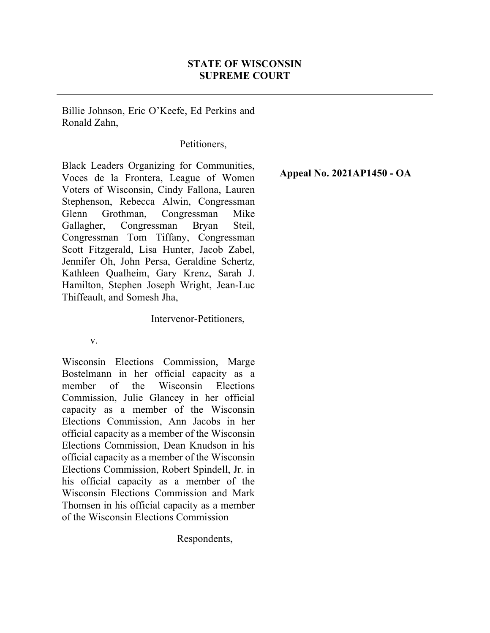# STATE OF WISCONSIN SUPREME COURT

Billie Johnson, Eric O'Keefe, Ed Perkins and Ronald Zahn,

### Petitioners,

Black Leaders Organizing for Communities, Voces de la Frontera, League of Women Voters of Wisconsin, Cindy Fallona, Lauren Stephenson, Rebecca Alwin, Congressman Glenn Grothman, Congressman Mike Gallagher, Congressman Bryan Steil, Congressman Tom Tiffany, Congressman Scott Fitzgerald, Lisa Hunter, Jacob Zabel, Jennifer Oh, John Persa, Geraldine Schertz, Kathleen Qualheim, Gary Krenz, Sarah J. Hamilton, Stephen Joseph Wright, Jean-Luc Thiffeault, and Somesh Jha,

#### Intervenor-Petitioners,

#### v.

Wisconsin Elections Commission, Marge Bostelmann in her official capacity as a member of the Wisconsin Elections Commission, Julie Glancey in her official capacity as a member of the Wisconsin Elections Commission, Ann Jacobs in her official capacity as a member of the Wisconsin Elections Commission, Dean Knudson in his official capacity as a member of the Wisconsin Elections Commission, Robert Spindell, Jr. in his official capacity as a member of the Wisconsin Elections Commission and Mark Thomsen in his official capacity as a member of the Wisconsin Elections Commission

Respondents,

Appeal No. 2021AP1450 - OA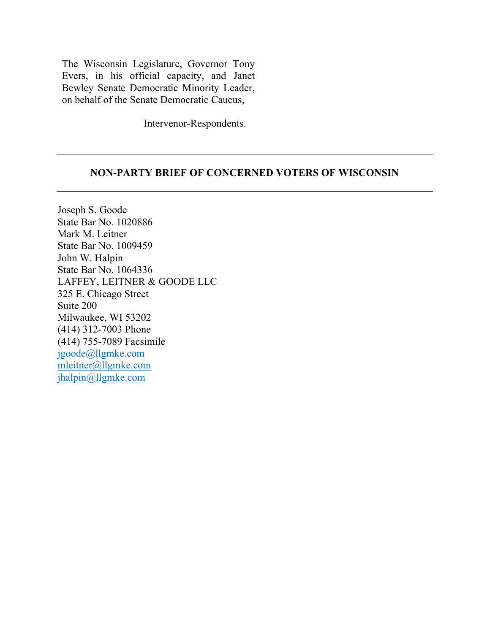The Wisconsin Legislature, Governor Tony Evers, in his official capacity, and Janet Bewley Senate Democratic Minority Leader, on behalf of the Senate Democratic Caucus,

Intervenor-Respondents.

#### NON-PARTY BRIEF OF CONCERNED VOTERS OF WISCONSIN

Joseph S. Goode State Bar No. 1020886 Mark M. Leitner State Bar No. 1009459 John W. Halpin State Bar No. 1064336 LAFFEY, LEITNER & GOODE LLC 325 E. Chicago Street Suite 200 Milwaukee, WI 53202 (414) 312-7003 Phone (414) 755-7089 Facsimile jgoode@llgmke.com mleitner@llgmke.com jhalpin@llgmke.com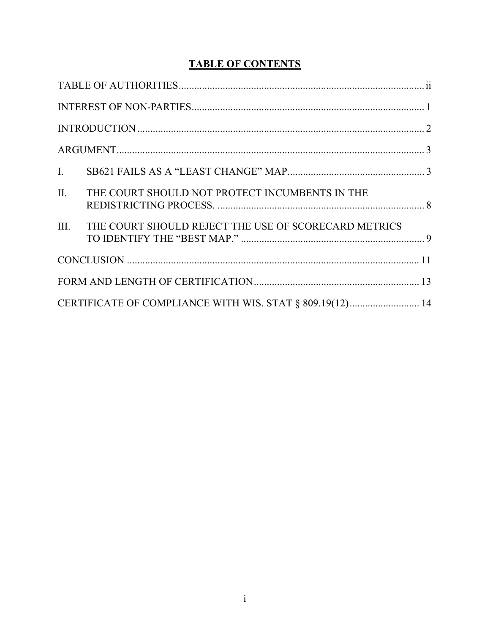# **TABLE OF CONTENTS**

| $\mathbf{L}$                                             |                                                      |  |  |
|----------------------------------------------------------|------------------------------------------------------|--|--|
| $\Pi$ .                                                  | THE COURT SHOULD NOT PROTECT INCUMBENTS IN THE       |  |  |
| III.                                                     | THE COURT SHOULD REJECT THE USE OF SCORECARD METRICS |  |  |
|                                                          |                                                      |  |  |
|                                                          |                                                      |  |  |
| CERTIFICATE OF COMPLIANCE WITH WIS. STAT § 809.19(12) 14 |                                                      |  |  |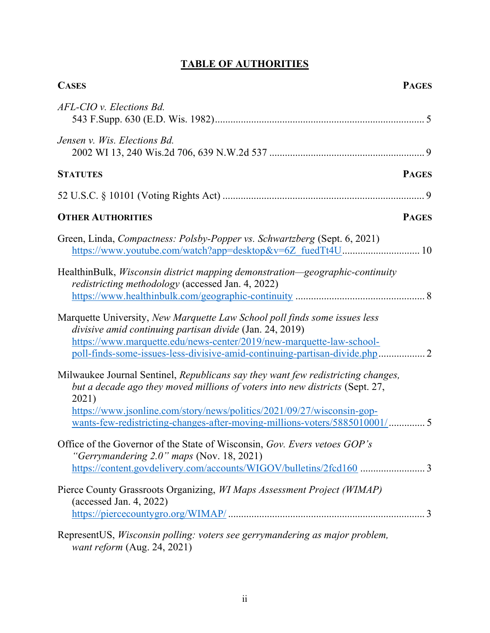# TABLE OF AUTHORITIES

| <b>CASES</b><br><b>PAGES</b>                                                                                                                                                                                                                                                                                                      |
|-----------------------------------------------------------------------------------------------------------------------------------------------------------------------------------------------------------------------------------------------------------------------------------------------------------------------------------|
| AFL-CIO v. Elections Bd.                                                                                                                                                                                                                                                                                                          |
| Jensen v. Wis. Elections Bd.                                                                                                                                                                                                                                                                                                      |
| <b>STATUTES</b><br><b>PAGES</b>                                                                                                                                                                                                                                                                                                   |
|                                                                                                                                                                                                                                                                                                                                   |
| <b>OTHER AUTHORITIES</b><br><b>PAGES</b>                                                                                                                                                                                                                                                                                          |
| Green, Linda, Compactness: Polsby-Popper vs. Schwartzberg (Sept. 6, 2021)                                                                                                                                                                                                                                                         |
| HealthinBulk, <i>Wisconsin district mapping demonstration—geographic-continuity</i><br>redistricting methodology (accessed Jan. 4, 2022)                                                                                                                                                                                          |
| Marquette University, New Marquette Law School poll finds some issues less<br>divisive amid continuing partisan divide (Jan. 24, 2019)<br>https://www.marquette.edu/news-center/2019/new-marquette-law-school-<br>poll-finds-some-issues-less-divisive-amid-continuing-partisan-divide.php 2                                      |
| Milwaukee Journal Sentinel, Republicans say they want few redistricting changes,<br>but a decade ago they moved millions of voters into new districts (Sept. 27,<br>2021)<br>https://www.jsonline.com/story/news/politics/2021/09/27/wisconsin-gop-<br>wants-few-redistricting-changes-after-moving-millions-voters/5885010001/ 5 |
| Office of the Governor of the State of Wisconsin, Gov. Evers vetoes GOP's<br>"Gerrymandering $2.0$ " maps (Nov. 18, 2021)<br>https://content.govdelivery.com/accounts/WIGOV/bulletins/2fcd160 3                                                                                                                                   |
| Pierce County Grassroots Organizing, WI Maps Assessment Project (WIMAP)<br>$(\text{accessed Jan. } 4, 2022)$                                                                                                                                                                                                                      |
| RepresentUS, Wisconsin polling: voters see gerrymandering as major problem,<br>want reform (Aug. 24, 2021)                                                                                                                                                                                                                        |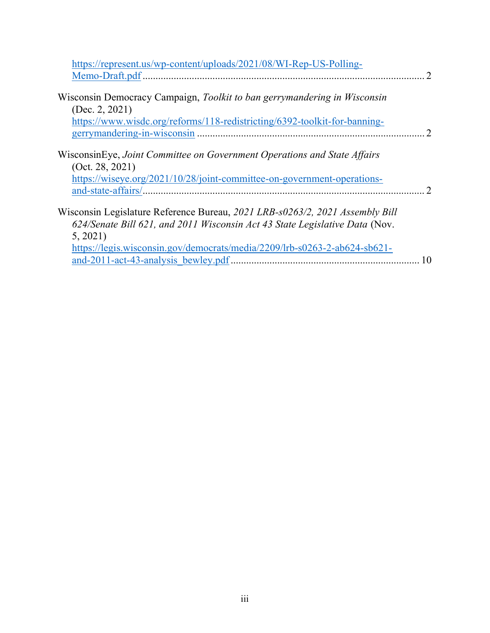| https://represent.us/wp-content/uploads/2021/08/WI-Rep-US-Polling-                                                                                                     |
|------------------------------------------------------------------------------------------------------------------------------------------------------------------------|
| $\mathcal{D}$                                                                                                                                                          |
| Wisconsin Democracy Campaign, Toolkit to ban gerrymandering in Wisconsin<br>(Dec. 2, 2021)                                                                             |
| https://www.wisdc.org/reforms/118-redistricting/6392-toolkit-for-banning-<br>$\mathcal{D}$                                                                             |
| WisconsinEye, Joint Committee on Government Operations and State Affairs<br>(Oct. 28, 2021)<br>https://wiseye.org/2021/10/28/joint-committee-on-government-operations- |
| $\mathcal{D}$                                                                                                                                                          |
| Wisconsin Legislature Reference Bureau, 2021 LRB-s0263/2, 2021 Assembly Bill<br>624/Senate Bill 621, and 2011 Wisconsin Act 43 State Legislative Data (Nov.<br>5, 2021 |
| https://legis.wisconsin.gov/democrats/media/2209/lrb-s0263-2-ab624-sb621-<br>10                                                                                        |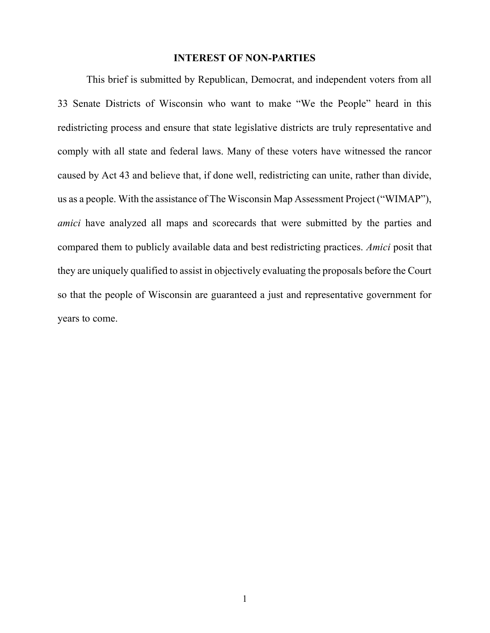#### INTEREST OF NON-PARTIES

This brief is submitted by Republican, Democrat, and independent voters from all 33 Senate Districts of Wisconsin who want to make "We the People" heard in this redistricting process and ensure that state legislative districts are truly representative and comply with all state and federal laws. Many of these voters have witnessed the rancor caused by Act 43 and believe that, if done well, redistricting can unite, rather than divide, us as a people. With the assistance of The Wisconsin Map Assessment Project ("WIMAP"), amici have analyzed all maps and scorecards that were submitted by the parties and compared them to publicly available data and best redistricting practices. Amici posit that they are uniquely qualified to assist in objectively evaluating the proposals before the Court so that the people of Wisconsin are guaranteed a just and representative government for years to come.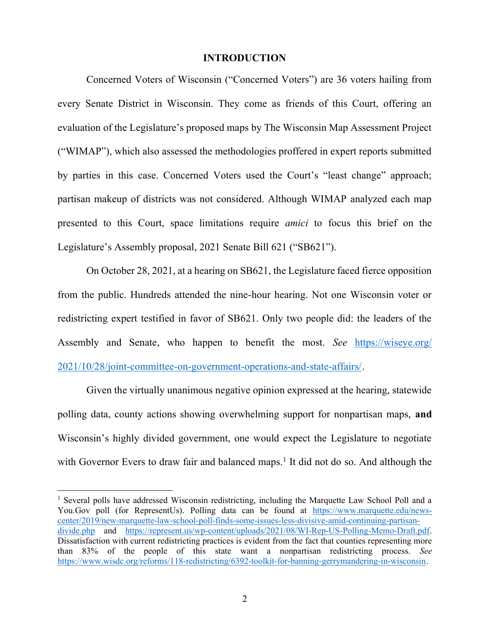#### INTRODUCTION

Concerned Voters of Wisconsin ("Concerned Voters") are 36 voters hailing from every Senate District in Wisconsin. They come as friends of this Court, offering an evaluation of the Legislature's proposed maps by The Wisconsin Map Assessment Project ("WIMAP"), which also assessed the methodologies proffered in expert reports submitted by parties in this case. Concerned Voters used the Court's "least change" approach; partisan makeup of districts was not considered. Although WIMAP analyzed each map presented to this Court, space limitations require amici to focus this brief on the Legislature's Assembly proposal, 2021 Senate Bill 621 ("SB621").

On October 28, 2021, at a hearing on SB621, the Legislature faced fierce opposition from the public. Hundreds attended the nine-hour hearing. Not one Wisconsin voter or redistricting expert testified in favor of SB621. Only two people did: the leaders of the Assembly and Senate, who happen to benefit the most. See https://wiseye.org/ 2021/10/28/joint-committee-on-government-operations-and-state-affairs/.

Given the virtually unanimous negative opinion expressed at the hearing, statewide polling data, county actions showing overwhelming support for nonpartisan maps, and Wisconsin's highly divided government, one would expect the Legislature to negotiate with Governor Evers to draw fair and balanced maps.<sup>1</sup> It did not do so. And although the

<sup>&</sup>lt;sup>1</sup> Several polls have addressed Wisconsin redistricting, including the Marquette Law School Poll and a You.Gov poll (for RepresentUs). Polling data can be found at https://www.marquette.edu/newscenter/2019/new-marquette-law-school-poll-finds-some-issues-less-divisive-amid-continuing-partisandivide.php and https://represent.us/wp-content/uploads/2021/08/WI-Rep-US-Polling-Memo-Draft.pdf. Dissatisfaction with current redistricting practices is evident from the fact that counties representing more than 83% of the people of this state want a nonpartisan redistricting process. See https://www.wisdc.org/reforms/118-redistricting/6392-toolkit-for-banning-gerrymandering-in-wisconsin.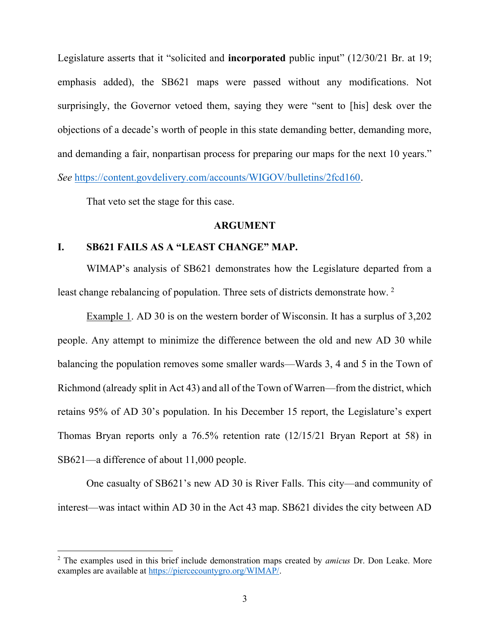Legislature asserts that it "solicited and **incorporated** public input" (12/30/21 Br. at 19; emphasis added), the SB621 maps were passed without any modifications. Not surprisingly, the Governor vetoed them, saying they were "sent to [his] desk over the objections of a decade's worth of people in this state demanding better, demanding more, and demanding a fair, nonpartisan process for preparing our maps for the next 10 years." See https://content.govdelivery.com/accounts/WIGOV/bulletins/2fcd160.

That veto set the stage for this case.

#### ARGUMENT

#### I. SB621 FAILS AS A "LEAST CHANGE" MAP.

WIMAP's analysis of SB621 demonstrates how the Legislature departed from a least change rebalancing of population. Three sets of districts demonstrate how.<sup>2</sup>

Example 1. AD 30 is on the western border of Wisconsin. It has a surplus of 3,202 people. Any attempt to minimize the difference between the old and new AD 30 while balancing the population removes some smaller wards—Wards 3, 4 and 5 in the Town of Richmond (already split in Act 43) and all of the Town of Warren—from the district, which retains 95% of AD 30's population. In his December 15 report, the Legislature's expert Thomas Bryan reports only a 76.5% retention rate (12/15/21 Bryan Report at 58) in SB621—a difference of about 11,000 people.

One casualty of SB621's new AD 30 is River Falls. This city—and community of interest—was intact within AD 30 in the Act 43 map. SB621 divides the city between AD

 $2$  The examples used in this brief include demonstration maps created by *amicus* Dr. Don Leake. More examples are available at https://piercecountygro.org/WIMAP/.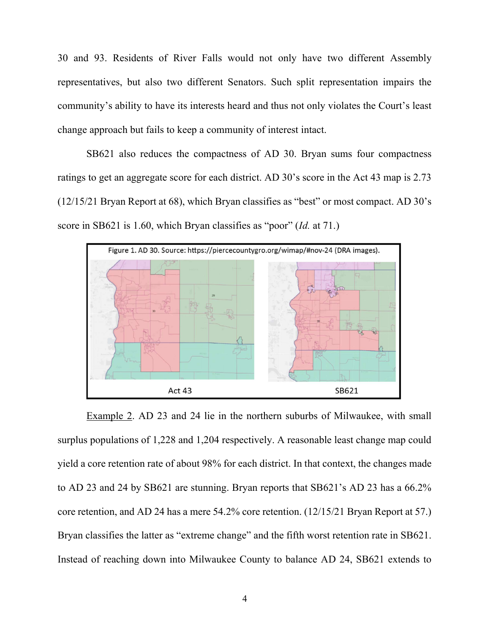30 and 93. Residents of River Falls would not only have two different Assembly representatives, but also two different Senators. Such split representation impairs the community's ability to have its interests heard and thus not only violates the Court's least change approach but fails to keep a community of interest intact.

SB621 also reduces the compactness of AD 30. Bryan sums four compactness ratings to get an aggregate score for each district. AD 30's score in the Act 43 map is 2.73 (12/15/21 Bryan Report at 68), which Bryan classifies as "best" or most compact. AD 30's score in SB621 is 1.60, which Bryan classifies as "poor" (Id. at 71.)



Example 2. AD 23 and 24 lie in the northern suburbs of Milwaukee, with small surplus populations of 1,228 and 1,204 respectively. A reasonable least change map could yield a core retention rate of about 98% for each district. In that context, the changes made to AD 23 and 24 by SB621 are stunning. Bryan reports that SB621's AD 23 has a 66.2% core retention, and AD 24 has a mere 54.2% core retention. (12/15/21 Bryan Report at 57.) Bryan classifies the latter as "extreme change" and the fifth worst retention rate in SB621. Instead of reaching down into Milwaukee County to balance AD 24, SB621 extends to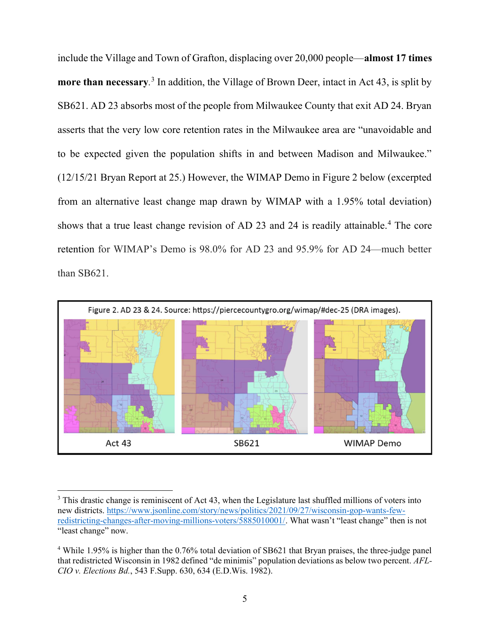include the Village and Town of Grafton, displacing over 20,000 people—almost 17 times more than necessary.<sup>3</sup> In addition, the Village of Brown Deer, intact in Act 43, is split by SB621. AD 23 absorbs most of the people from Milwaukee County that exit AD 24. Bryan asserts that the very low core retention rates in the Milwaukee area are "unavoidable and to be expected given the population shifts in and between Madison and Milwaukee." (12/15/21 Bryan Report at 25.) However, the WIMAP Demo in Figure 2 below (excerpted from an alternative least change map drawn by WIMAP with a 1.95% total deviation) shows that a true least change revision of AD 23 and 24 is readily attainable.<sup>4</sup> The core retention for WIMAP's Demo is 98.0% for AD 23 and 95.9% for AD 24—much better than SB621.



 $3$  This drastic change is reminiscent of Act 43, when the Legislature last shuffled millions of voters into new districts. https://www.jsonline.com/story/news/politics/2021/09/27/wisconsin-gop-wants-fewredistricting-changes-after-moving-millions-voters/5885010001/. What wasn't "least change" then is not "least change" now.

<sup>&</sup>lt;sup>4</sup> While 1.95% is higher than the 0.76% total deviation of SB621 that Bryan praises, the three-judge panel that redistricted Wisconsin in 1982 defined "de minimis" population deviations as below two percent. AFL-CIO v. Elections Bd., 543 F.Supp. 630, 634 (E.D.Wis. 1982).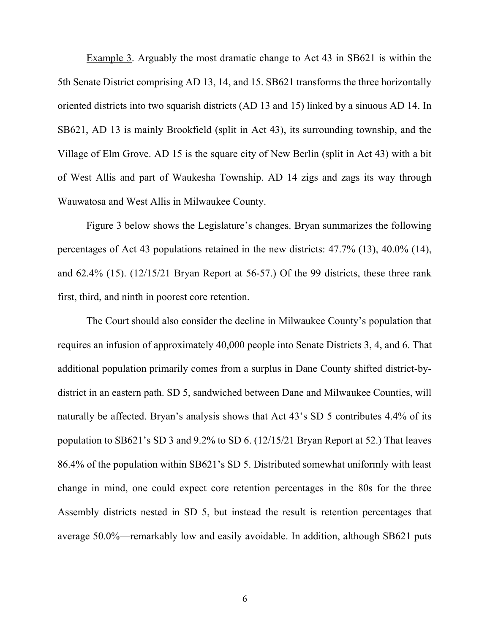Example 3. Arguably the most dramatic change to Act 43 in SB621 is within the 5th Senate District comprising AD 13, 14, and 15. SB621 transforms the three horizontally oriented districts into two squarish districts (AD 13 and 15) linked by a sinuous AD 14. In SB621, AD 13 is mainly Brookfield (split in Act 43), its surrounding township, and the Village of Elm Grove. AD 15 is the square city of New Berlin (split in Act 43) with a bit of West Allis and part of Waukesha Township. AD 14 zigs and zags its way through Wauwatosa and West Allis in Milwaukee County.

Figure 3 below shows the Legislature's changes. Bryan summarizes the following percentages of Act 43 populations retained in the new districts: 47.7% (13), 40.0% (14), and 62.4% (15). (12/15/21 Bryan Report at 56-57.) Of the 99 districts, these three rank first, third, and ninth in poorest core retention.

The Court should also consider the decline in Milwaukee County's population that requires an infusion of approximately 40,000 people into Senate Districts 3, 4, and 6. That additional population primarily comes from a surplus in Dane County shifted district-bydistrict in an eastern path. SD 5, sandwiched between Dane and Milwaukee Counties, will naturally be affected. Bryan's analysis shows that Act 43's SD 5 contributes 4.4% of its population to SB621's SD 3 and 9.2% to SD 6. (12/15/21 Bryan Report at 52.) That leaves 86.4% of the population within SB621's SD 5. Distributed somewhat uniformly with least change in mind, one could expect core retention percentages in the 80s for the three Assembly districts nested in SD 5, but instead the result is retention percentages that average 50.0%—remarkably low and easily avoidable. In addition, although SB621 puts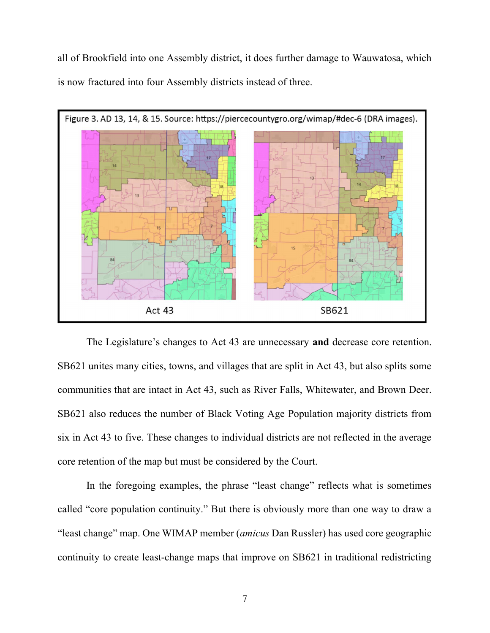all of Brookfield into one Assembly district, it does further damage to Wauwatosa, which is now fractured into four Assembly districts instead of three.



The Legislature's changes to Act 43 are unnecessary and decrease core retention. SB621 unites many cities, towns, and villages that are split in Act 43, but also splits some communities that are intact in Act 43, such as River Falls, Whitewater, and Brown Deer. SB621 also reduces the number of Black Voting Age Population majority districts from six in Act 43 to five. These changes to individual districts are not reflected in the average core retention of the map but must be considered by the Court.

In the foregoing examples, the phrase "least change" reflects what is sometimes called "core population continuity." But there is obviously more than one way to draw a "least change" map. One WIMAP member (amicus Dan Russler) has used core geographic continuity to create least-change maps that improve on SB621 in traditional redistricting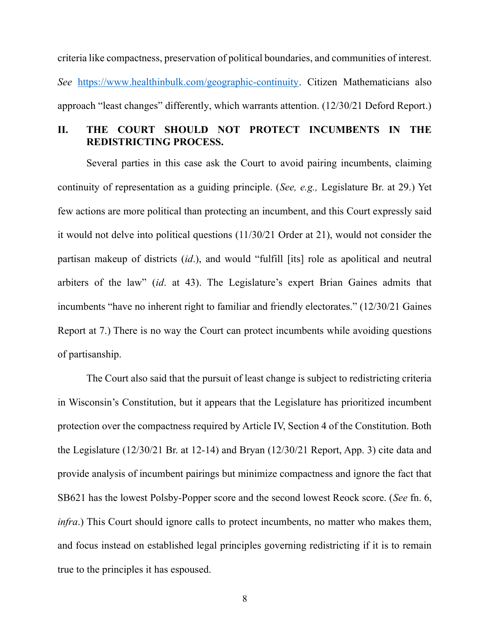criteria like compactness, preservation of political boundaries, and communities of interest. See https://www.healthinbulk.com/geographic-continuity. Citizen Mathematicians also approach "least changes" differently, which warrants attention. (12/30/21 Deford Report.)

# II. THE COURT SHOULD NOT PROTECT INCUMBENTS IN THE REDISTRICTING PROCESS.

Several parties in this case ask the Court to avoid pairing incumbents, claiming continuity of representation as a guiding principle. (See, e.g., Legislature Br. at 29.) Yet few actions are more political than protecting an incumbent, and this Court expressly said it would not delve into political questions (11/30/21 Order at 21), would not consider the partisan makeup of districts (id.), and would "fulfill [its] role as apolitical and neutral arbiters of the law" (id. at 43). The Legislature's expert Brian Gaines admits that incumbents "have no inherent right to familiar and friendly electorates." (12/30/21 Gaines Report at 7.) There is no way the Court can protect incumbents while avoiding questions of partisanship.

The Court also said that the pursuit of least change is subject to redistricting criteria in Wisconsin's Constitution, but it appears that the Legislature has prioritized incumbent protection over the compactness required by Article IV, Section 4 of the Constitution. Both the Legislature (12/30/21 Br. at 12-14) and Bryan (12/30/21 Report, App. 3) cite data and provide analysis of incumbent pairings but minimize compactness and ignore the fact that SB621 has the lowest Polsby-Popper score and the second lowest Reock score. (See fn. 6, infra.) This Court should ignore calls to protect incumbents, no matter who makes them, and focus instead on established legal principles governing redistricting if it is to remain true to the principles it has espoused.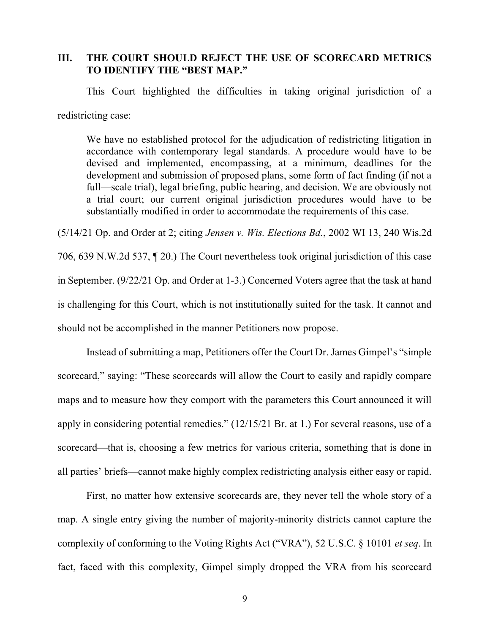# III. THE COURT SHOULD REJECT THE USE OF SCORECARD METRICS TO IDENTIFY THE "BEST MAP."

This Court highlighted the difficulties in taking original jurisdiction of a redistricting case:

We have no established protocol for the adjudication of redistricting litigation in accordance with contemporary legal standards. A procedure would have to be devised and implemented, encompassing, at a minimum, deadlines for the development and submission of proposed plans, some form of fact finding (if not a full—scale trial), legal briefing, public hearing, and decision. We are obviously not a trial court; our current original jurisdiction procedures would have to be substantially modified in order to accommodate the requirements of this case.

(5/14/21 Op. and Order at 2; citing Jensen v. Wis. Elections Bd., 2002 WI 13, 240 Wis.2d 706, 639 N.W.2d 537, ¶ 20.) The Court nevertheless took original jurisdiction of this case in September. (9/22/21 Op. and Order at 1-3.) Concerned Voters agree that the task at hand is challenging for this Court, which is not institutionally suited for the task. It cannot and should not be accomplished in the manner Petitioners now propose.

Instead of submitting a map, Petitioners offer the Court Dr. James Gimpel's "simple scorecard," saying: "These scorecards will allow the Court to easily and rapidly compare maps and to measure how they comport with the parameters this Court announced it will apply in considering potential remedies." (12/15/21 Br. at 1.) For several reasons, use of a scorecard—that is, choosing a few metrics for various criteria, something that is done in all parties' briefs—cannot make highly complex redistricting analysis either easy or rapid.

First, no matter how extensive scorecards are, they never tell the whole story of a map. A single entry giving the number of majority-minority districts cannot capture the complexity of conforming to the Voting Rights Act ("VRA"), 52 U.S.C. § 10101 et seq. In fact, faced with this complexity, Gimpel simply dropped the VRA from his scorecard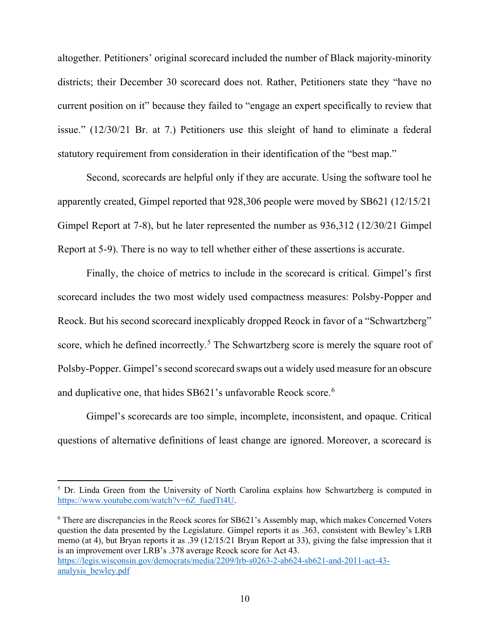altogether. Petitioners' original scorecard included the number of Black majority-minority districts; their December 30 scorecard does not. Rather, Petitioners state they "have no current position on it" because they failed to "engage an expert specifically to review that issue." (12/30/21 Br. at 7.) Petitioners use this sleight of hand to eliminate a federal statutory requirement from consideration in their identification of the "best map."

Second, scorecards are helpful only if they are accurate. Using the software tool he apparently created, Gimpel reported that 928,306 people were moved by SB621 (12/15/21 Gimpel Report at 7-8), but he later represented the number as 936,312 (12/30/21 Gimpel Report at 5-9). There is no way to tell whether either of these assertions is accurate.

Finally, the choice of metrics to include in the scorecard is critical. Gimpel's first scorecard includes the two most widely used compactness measures: Polsby-Popper and Reock. But his second scorecard inexplicably dropped Reock in favor of a "Schwartzberg" score, which he defined incorrectly.<sup>5</sup> The Schwartzberg score is merely the square root of Polsby-Popper. Gimpel's second scorecard swaps out a widely used measure for an obscure and duplicative one, that hides SB621's unfavorable Reock score.<sup>6</sup>

Gimpel's scorecards are too simple, incomplete, inconsistent, and opaque. Critical questions of alternative definitions of least change are ignored. Moreover, a scorecard is

<sup>6</sup> There are discrepancies in the Reock scores for SB621's Assembly map, which makes Concerned Voters question the data presented by the Legislature. Gimpel reports it as .363, consistent with Bewley's LRB memo (at 4), but Bryan reports it as .39 (12/15/21 Bryan Report at 33), giving the false impression that it is an improvement over LRB's .378 average Reock score for Act 43. https://legis.wisconsin.gov/democrats/media/2209/lrb-s0263-2-ab624-sb621-and-2011-act-43 analysis\_bewley.pdf

<sup>&</sup>lt;sup>5</sup> Dr. Linda Green from the University of North Carolina explains how Schwartzberg is computed in https://www.youtube.com/watch?v=6Z\_fuedTt4U.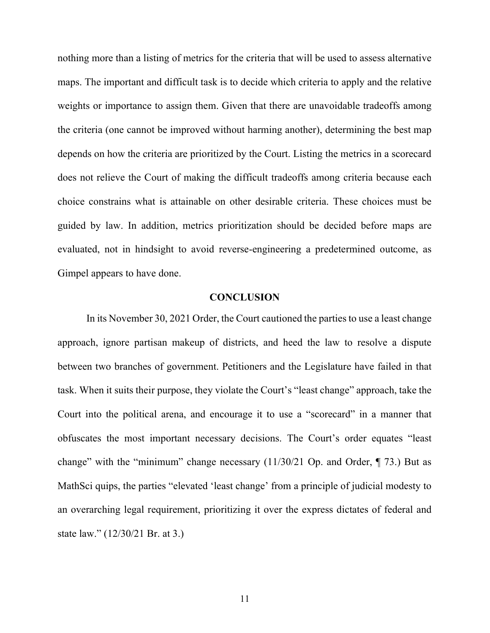nothing more than a listing of metrics for the criteria that will be used to assess alternative maps. The important and difficult task is to decide which criteria to apply and the relative weights or importance to assign them. Given that there are unavoidable tradeoffs among the criteria (one cannot be improved without harming another), determining the best map depends on how the criteria are prioritized by the Court. Listing the metrics in a scorecard does not relieve the Court of making the difficult tradeoffs among criteria because each choice constrains what is attainable on other desirable criteria. These choices must be guided by law. In addition, metrics prioritization should be decided before maps are evaluated, not in hindsight to avoid reverse-engineering a predetermined outcome, as Gimpel appears to have done.

#### **CONCLUSION**

In its November 30, 2021 Order, the Court cautioned the parties to use a least change approach, ignore partisan makeup of districts, and heed the law to resolve a dispute between two branches of government. Petitioners and the Legislature have failed in that task. When it suits their purpose, they violate the Court's "least change" approach, take the Court into the political arena, and encourage it to use a "scorecard" in a manner that obfuscates the most important necessary decisions. The Court's order equates "least change" with the "minimum" change necessary (11/30/21 Op. and Order, ¶ 73.) But as MathSci quips, the parties "elevated 'least change' from a principle of judicial modesty to an overarching legal requirement, prioritizing it over the express dictates of federal and state law." (12/30/21 Br. at 3.)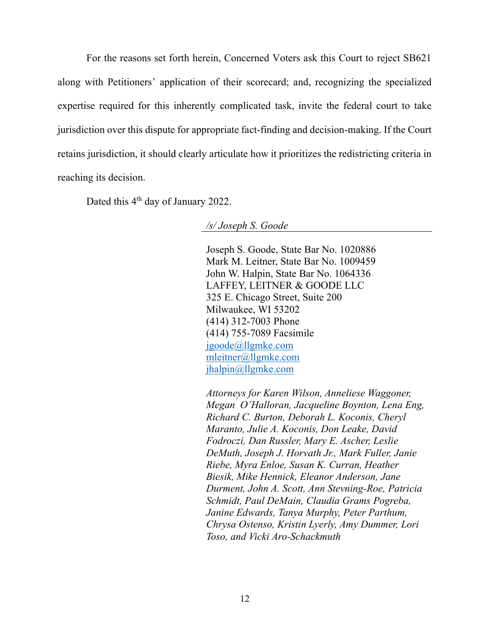For the reasons set forth herein, Concerned Voters ask this Court to reject SB621 along with Petitioners' application of their scorecard; and, recognizing the specialized expertise required for this inherently complicated task, invite the federal court to take jurisdiction over this dispute for appropriate fact-finding and decision-making. If the Court retains jurisdiction, it should clearly articulate how it prioritizes the redistricting criteria in reaching its decision.

Dated this 4<sup>th</sup> day of January 2022.

/s/ Joseph S. Goode

 Joseph S. Goode, State Bar No. 1020886 Mark M. Leitner, State Bar No. 1009459 John W. Halpin, State Bar No. 1064336 LAFFEY, LEITNER & GOODE LLC 325 E. Chicago Street, Suite 200 Milwaukee, WI 53202 (414) 312-7003 Phone (414) 755-7089 Facsimile jgoode@llgmke.com mleitner@llgmke.com jhalpin@llgmke.com

 Attorneys for Karen Wilson, Anneliese Waggoner, Megan O'Halloran, Jacqueline Boynton, Lena Eng, Richard C. Burton, Deborah L. Koconis, Cheryl Maranto, Julie A. Koconis, Don Leake, David Fodroczi, Dan Russler, Mary E. Ascher, Leslie DeMuth, Joseph J. Horvath Jr., Mark Fuller, Janie Riebe, Myra Enloe, Susan K. Curran, Heather Biesik, Mike Hennick, Eleanor Anderson, Jane Durment, John A. Scott, Ann Stevning-Roe, Patricia Schmidt, Paul DeMain, Claudia Grams Pogreba, Janine Edwards, Tanya Murphy, Peter Parthum, Chrysa Ostenso, Kristin Lyerly, Amy Dummer, Lori Toso, and Vicki Aro-Schackmuth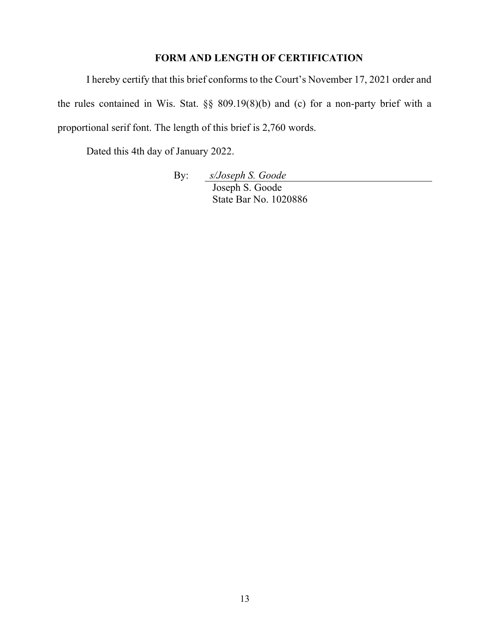# FORM AND LENGTH OF CERTIFICATION

I hereby certify that this brief conforms to the Court's November 17, 2021 order and the rules contained in Wis. Stat. §§ 809.19(8)(b) and (c) for a non-party brief with a proportional serif font. The length of this brief is 2,760 words.

Dated this 4th day of January 2022.

By: s/Joseph S. Goode Joseph S. Goode State Bar No. 1020886